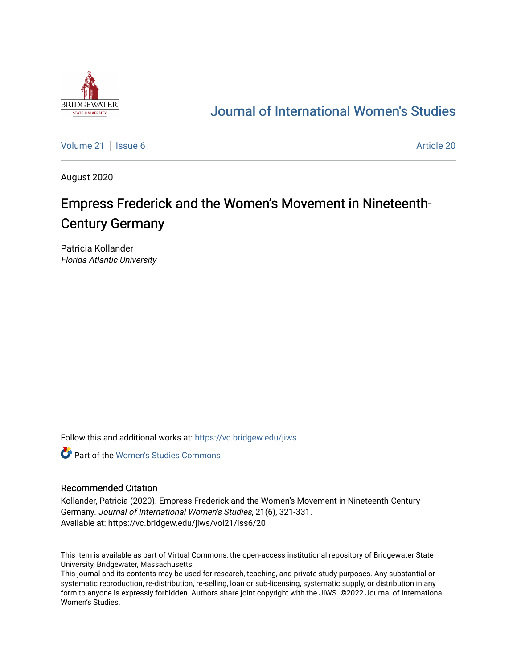

# [Journal of International Women's Studies](https://vc.bridgew.edu/jiws)

[Volume 21](https://vc.bridgew.edu/jiws/vol21) | [Issue 6](https://vc.bridgew.edu/jiws/vol21/iss6) Article 20

August 2020

# Empress Frederick and the Women's Movement in Nineteenth-Century Germany

Patricia Kollander Florida Atlantic University

Follow this and additional works at: [https://vc.bridgew.edu/jiws](https://vc.bridgew.edu/jiws?utm_source=vc.bridgew.edu%2Fjiws%2Fvol21%2Fiss6%2F20&utm_medium=PDF&utm_campaign=PDFCoverPages)

**C** Part of the Women's Studies Commons

#### Recommended Citation

Kollander, Patricia (2020). Empress Frederick and the Women's Movement in Nineteenth-Century Germany. Journal of International Women's Studies, 21(6), 321-331. Available at: https://vc.bridgew.edu/jiws/vol21/iss6/20

This item is available as part of Virtual Commons, the open-access institutional repository of Bridgewater State University, Bridgewater, Massachusetts.

This journal and its contents may be used for research, teaching, and private study purposes. Any substantial or systematic reproduction, re-distribution, re-selling, loan or sub-licensing, systematic supply, or distribution in any form to anyone is expressly forbidden. Authors share joint copyright with the JIWS. ©2022 Journal of International Women's Studies.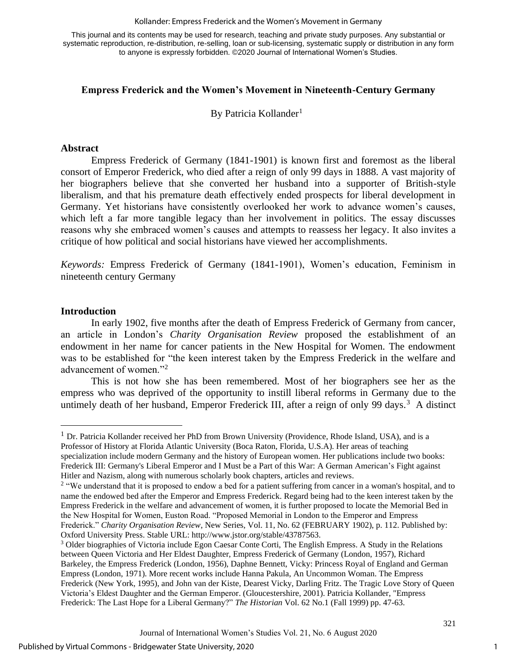#### Kollander: Empress Frederick and the Women's Movement in Germany

This journal and its contents may be used for research, teaching and private study purposes. Any substantial or systematic reproduction, re-distribution, re-selling, loan or sub-licensing, systematic supply or distribution in any form to anyone is expressly forbidden. ©2020 Journal of International Women's Studies.

# **Empress Frederick and the Women's Movement in Nineteenth-Century Germany**

By Patricia Kollander<sup>1</sup>

#### **Abstract**

Empress Frederick of Germany (1841-1901) is known first and foremost as the liberal consort of Emperor Frederick, who died after a reign of only 99 days in 1888. A vast majority of her biographers believe that she converted her husband into a supporter of British-style liberalism, and that his premature death effectively ended prospects for liberal development in Germany. Yet historians have consistently overlooked her work to advance women's causes, which left a far more tangible legacy than her involvement in politics. The essay discusses reasons why she embraced women's causes and attempts to reassess her legacy. It also invites a critique of how political and social historians have viewed her accomplishments.

*Keywords:* Empress Frederick of Germany (1841-1901), Women's education, Feminism in nineteenth century Germany

#### **Introduction**

In early 1902, five months after the death of Empress Frederick of Germany from cancer, an article in London's *Charity Organisation Review* proposed the establishment of an endowment in her name for cancer patients in the New Hospital for Women. The endowment was to be established for "the keen interest taken by the Empress Frederick in the welfare and advancement of women."<sup>2</sup>

This is not how she has been remembered. Most of her biographers see her as the empress who was deprived of the opportunity to instill liberal reforms in Germany due to the untimely death of her husband, Emperor Frederick III, after a reign of only 99 days.<sup>3</sup> A distinct

1

<sup>&</sup>lt;sup>1</sup> Dr. Patricia Kollander received her PhD from Brown University (Providence, Rhode Island, USA), and is a Professor of History at Florida Atlantic University (Boca Raton, Florida, U.S.A). Her areas of teaching specialization include modern Germany and the history of European women. Her publications include two books: Frederick III: Germany's Liberal Emperor and I Must be a Part of this War: A German American's Fight against Hitler and Nazism, along with numerous scholarly book chapters, articles and reviews.

 $2$  "We understand that it is proposed to endow a bed for a patient suffering from cancer in a woman's hospital, and to name the endowed bed after the Emperor and Empress Frederick. Regard being had to the keen interest taken by the Empress Frederick in the welfare and advancement of women, it is further proposed to locate the Memorial Bed in the New Hospital for Women, Euston Road. "Proposed Memorial in London to the Emperor and Empress Frederick." *Charity Organisation Review*, New Series, Vol. 11, No. 62 (FEBRUARY 1902), p. 112. Published by: Oxford University Press. Stable URL: [http://www.jstor.org/stable/43787563.](http://www.jstor.org/stable/43787563)

<sup>&</sup>lt;sup>3</sup> Older biographies of Victoria include Egon Caesar Conte Corti, The English Empress. A Study in the Relations between Queen Victoria and Her Eldest Daughter, Empress Frederick of Germany (London, 1957), Richard Barkeley, the Empress Frederick (London, 1956), Daphne Bennett, Vicky: Princess Royal of England and German Empress (London, 1971). More recent works include Hanna Pakula, An Uncommon Woman. The Empress Frederick (New York, 1995), and John van der Kiste, Dearest Vicky, Darling Fritz. The Tragic Love Story of Queen Victoria's Eldest Daughter and the German Emperor. (Gloucestershire, 2001). Patricia Kollander, "Empress Frederick: The Last Hope for a Liberal Germany?" *The Historian* Vol. 62 No.1 (Fall 1999) pp. 47-63.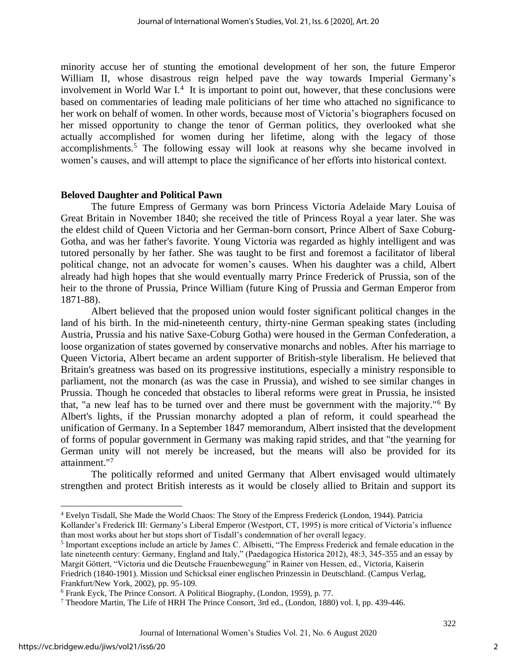minority accuse her of stunting the emotional development of her son, the future Emperor William II, whose disastrous reign helped pave the way towards Imperial Germany's involvement in World War I.<sup>4</sup> It is important to point out, however, that these conclusions were based on commentaries of leading male politicians of her time who attached no significance to her work on behalf of women. In other words, because most of Victoria's biographers focused on her missed opportunity to change the tenor of German politics, they overlooked what she actually accomplished for women during her lifetime, along with the legacy of those accomplishments.<sup>5</sup> The following essay will look at reasons why she became involved in women's causes, and will attempt to place the significance of her efforts into historical context.

# **Beloved Daughter and Political Pawn**

The future Empress of Germany was born Princess Victoria Adelaide Mary Louisa of Great Britain in November 1840; she received the title of Princess Royal a year later. She was the eldest child of Queen Victoria and her German-born consort, Prince Albert of Saxe Coburg-Gotha, and was her father's favorite. Young Victoria was regarded as highly intelligent and was tutored personally by her father. She was taught to be first and foremost a facilitator of liberal political change, not an advocate for women's causes. When his daughter was a child, Albert already had high hopes that she would eventually marry Prince Frederick of Prussia, son of the heir to the throne of Prussia, Prince William (future King of Prussia and German Emperor from 1871-88).

Albert believed that the proposed union would foster significant political changes in the land of his birth. In the mid-nineteenth century, thirty-nine German speaking states (including Austria, Prussia and his native Saxe-Coburg Gotha) were housed in the German Confederation, a loose organization of states governed by conservative monarchs and nobles. After his marriage to Queen Victoria, Albert became an ardent supporter of British-style liberalism. He believed that Britain's greatness was based on its progressive institutions, especially a ministry responsible to parliament, not the monarch (as was the case in Prussia), and wished to see similar changes in Prussia. Though he conceded that obstacles to liberal reforms were great in Prussia, he insisted that, "a new leaf has to be turned over and there must be government with the majority."<sup>6</sup> By Albert's lights, if the Prussian monarchy adopted a plan of reform, it could spearhead the unification of Germany. In a September 1847 memorandum, Albert insisted that the development of forms of popular government in Germany was making rapid strides, and that "the yearning for German unity will not merely be increased, but the means will also be provided for its attainment."<sup>7</sup>

The politically reformed and united Germany that Albert envisaged would ultimately strengthen and protect British interests as it would be closely allied to Britain and support its

<sup>4</sup> Evelyn Tisdall, She Made the World Chaos: The Story of the Empress Frederick (London, 1944). Patricia

Kollander's Frederick III: Germany's Liberal Emperor (Westport, CT, 1995) is more critical of Victoria's influence than most works about her but stops short of Tisdall's condemnation of her overall legacy.

<sup>&</sup>lt;sup>5</sup> Important exceptions include an article by James C. Albisetti, "The Empress Frederick and female education in the late nineteenth century: Germany, England and Italy," (Paedagogica Historica 2012), 48:3, 345-355 and an essay by Margit Göttert, "Victoria und die Deutsche Frauenbewegung" in Rainer von Hessen, ed., Victoria, Kaiserin Friedrich (1840-1901). Mission und Schicksal einer englischen Prinzessin in Deutschland. (Campus Verlag, Frankfurt/New York, 2002), pp. 95-109.

<sup>6</sup> Frank Eyck, The Prince Consort. A Political Biography, (London, 1959), p. 77.

<sup>7</sup> Theodore Martin, The Life of HRH The Prince Consort, 3rd ed., (London, 1880) vol. I, pp. 439-446.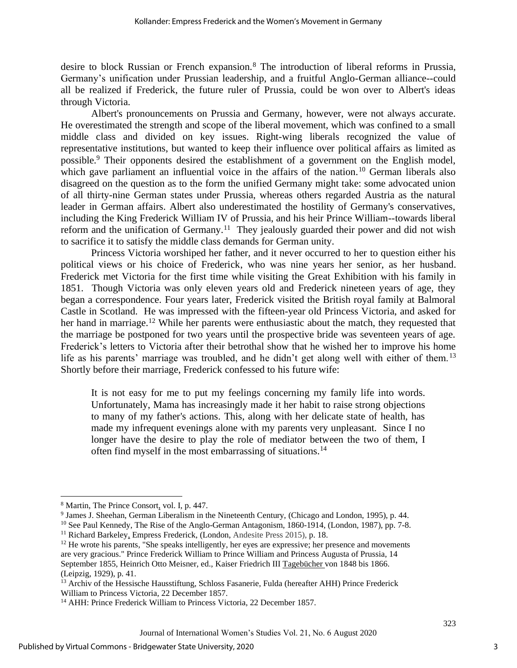desire to block Russian or French expansion.<sup>8</sup> The introduction of liberal reforms in Prussia, Germany's unification under Prussian leadership, and a fruitful Anglo-German alliance--could all be realized if Frederick, the future ruler of Prussia, could be won over to Albert's ideas through Victoria.

Albert's pronouncements on Prussia and Germany, however, were not always accurate. He overestimated the strength and scope of the liberal movement, which was confined to a small middle class and divided on key issues. Right-wing liberals recognized the value of representative institutions, but wanted to keep their influence over political affairs as limited as possible.<sup>9</sup> Their opponents desired the establishment of a government on the English model, which gave parliament an influential voice in the affairs of the nation.<sup>10</sup> German liberals also disagreed on the question as to the form the unified Germany might take: some advocated union of all thirty-nine German states under Prussia, whereas others regarded Austria as the natural leader in German affairs. Albert also underestimated the hostility of Germany's conservatives, including the King Frederick William IV of Prussia, and his heir Prince William--towards liberal reform and the unification of Germany.<sup>11</sup> They jealously guarded their power and did not wish to sacrifice it to satisfy the middle class demands for German unity.

Princess Victoria worshiped her father, and it never occurred to her to question either his political views or his choice of Frederick, who was nine years her senior, as her husband. Frederick met Victoria for the first time while visiting the Great Exhibition with his family in 1851. Though Victoria was only eleven years old and Frederick nineteen years of age, they began a correspondence. Four years later, Frederick visited the British royal family at Balmoral Castle in Scotland. He was impressed with the fifteen-year old Princess Victoria, and asked for her hand in marriage.<sup>12</sup> While her parents were enthusiastic about the match, they requested that the marriage be postponed for two years until the prospective bride was seventeen years of age. Frederick's letters to Victoria after their betrothal show that he wished her to improve his home life as his parents' marriage was troubled, and he didn't get along well with either of them.<sup>13</sup> Shortly before their marriage, Frederick confessed to his future wife:

It is not easy for me to put my feelings concerning my family life into words. Unfortunately, Mama has increasingly made it her habit to raise strong objections to many of my father's actions. This, along with her delicate state of health, has made my infrequent evenings alone with my parents very unpleasant. Since I no longer have the desire to play the role of mediator between the two of them, I often find myself in the most embarrassing of situations.<sup>14</sup>

<sup>8</sup> Martin, The Prince Consort, vol. I, p. 447.

<sup>9</sup> James J. Sheehan, German Liberalism in the Nineteenth Century, (Chicago and London, 1995), p. 44.

<sup>&</sup>lt;sup>10</sup> See Paul Kennedy, The Rise of the Anglo-German Antagonism, 1860-1914, (London, 1987), pp. 7-8. <sup>11</sup> Richard Barkeley*,* Empress Frederick, (London, Andesite Press 2015), p. 18.

 $12$  He wrote his parents, "She speaks intelligently, her eyes are expressive; her presence and movements are very gracious." Prince Frederick William to Prince William and Princess Augusta of Prussia, 14 September 1855, Heinrich Otto Meisner, ed., Kaiser Friedrich III Tagebücher von 1848 bis 1866. (Leipzig, 1929), p. 41.

<sup>&</sup>lt;sup>13</sup> Archiv of the Hessische Hausstiftung, Schloss Fasanerie, Fulda (hereafter AHH) Prince Frederick William to Princess Victoria, 22 December 1857.

<sup>&</sup>lt;sup>14</sup> AHH: Prince Frederick William to Princess Victoria, 22 December 1857.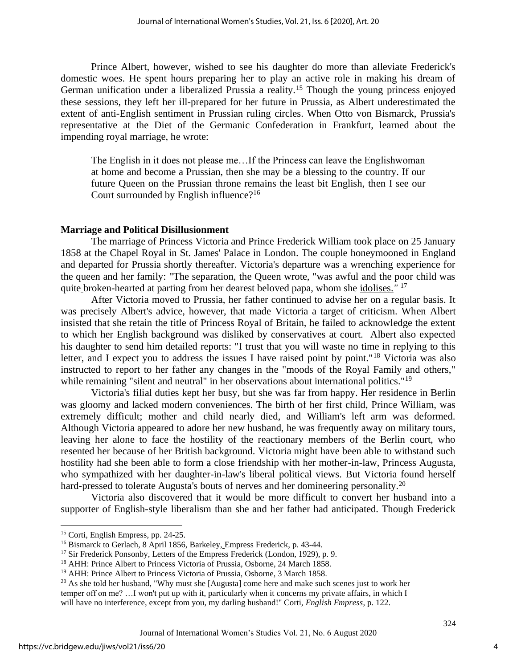Prince Albert, however, wished to see his daughter do more than alleviate Frederick's domestic woes. He spent hours preparing her to play an active role in making his dream of German unification under a liberalized Prussia a reality.<sup>15</sup> Though the young princess enjoyed these sessions, they left her ill-prepared for her future in Prussia, as Albert underestimated the extent of anti-English sentiment in Prussian ruling circles. When Otto von Bismarck, Prussia's representative at the Diet of the Germanic Confederation in Frankfurt, learned about the impending royal marriage, he wrote:

The English in it does not please me…If the Princess can leave the Englishwoman at home and become a Prussian, then she may be a blessing to the country. If our future Queen on the Prussian throne remains the least bit English, then I see our Court surrounded by English influence?<sup>16</sup>

#### **Marriage and Political Disillusionment**

The marriage of Princess Victoria and Prince Frederick William took place on 25 January 1858 at the Chapel Royal in St. James' Palace in London. The couple honeymooned in England and departed for Prussia shortly thereafter. Victoria's departure was a wrenching experience for the queen and her family: "The separation, the Queen wrote, "was awful and the poor child was quite broken-hearted at parting from her dearest beloved papa, whom she idolises.*"* <sup>17</sup>

After Victoria moved to Prussia, her father continued to advise her on a regular basis. It was precisely Albert's advice, however, that made Victoria a target of criticism. When Albert insisted that she retain the title of Princess Royal of Britain, he failed to acknowledge the extent to which her English background was disliked by conservatives at court. Albert also expected his daughter to send him detailed reports: "I trust that you will waste no time in replying to this letter, and I expect you to address the issues I have raised point by point."<sup>18</sup> Victoria was also instructed to report to her father any changes in the "moods of the Royal Family and others," while remaining "silent and neutral" in her observations about international politics."<sup>19</sup>

Victoria's filial duties kept her busy, but she was far from happy. Her residence in Berlin was gloomy and lacked modern conveniences. The birth of her first child, Prince William, was extremely difficult; mother and child nearly died, and William's left arm was deformed. Although Victoria appeared to adore her new husband, he was frequently away on military tours, leaving her alone to face the hostility of the reactionary members of the Berlin court, who resented her because of her British background. Victoria might have been able to withstand such hostility had she been able to form a close friendship with her mother-in-law, Princess Augusta, who sympathized with her daughter-in-law's liberal political views. But Victoria found herself hard-pressed to tolerate Augusta's bouts of nerves and her domineering personality.<sup>20</sup>

Victoria also discovered that it would be more difficult to convert her husband into a supporter of English-style liberalism than she and her father had anticipated. Though Frederick

<sup>15</sup> Corti, English Empress, pp. 24-25.

<sup>&</sup>lt;sup>16</sup> Bismarck to Gerlach, 8 April 1856, Barkeley, Empress Frederick, p. 43-44.

<sup>&</sup>lt;sup>17</sup> Sir Frederick Ponsonby, Letters of the Empress Frederick (London, 1929), p. 9.

<sup>&</sup>lt;sup>18</sup> AHH: Prince Albert to Princess Victoria of Prussia, Osborne, 24 March 1858.

<sup>&</sup>lt;sup>19</sup> AHH: Prince Albert to Princess Victoria of Prussia, Osborne, 3 March 1858.

<sup>&</sup>lt;sup>20</sup> As she told her husband, "Why must she [Augusta] come here and make such scenes just to work her temper off on me? …I won't put up with it, particularly when it concerns my private affairs, in which I will have no interference, except from you, my darling husband!" Corti, *English Empress*, p. 122.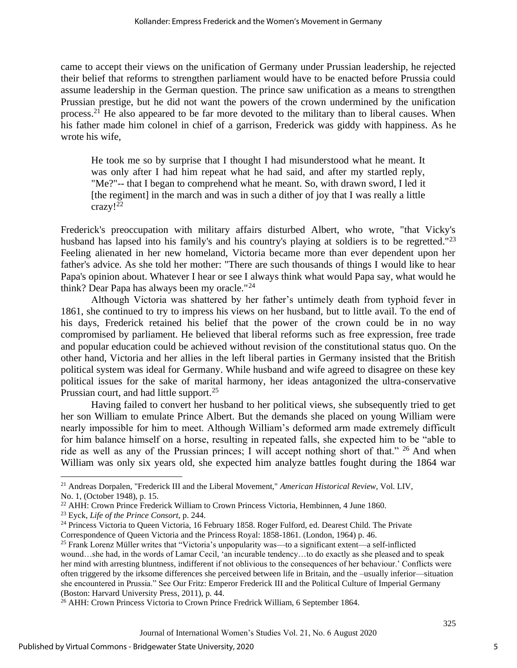came to accept their views on the unification of Germany under Prussian leadership, he rejected their belief that reforms to strengthen parliament would have to be enacted before Prussia could assume leadership in the German question. The prince saw unification as a means to strengthen Prussian prestige, but he did not want the powers of the crown undermined by the unification process.<sup>21</sup> He also appeared to be far more devoted to the military than to liberal causes. When his father made him colonel in chief of a garrison, Frederick was giddy with happiness. As he wrote his wife,

He took me so by surprise that I thought I had misunderstood what he meant. It was only after I had him repeat what he had said, and after my startled reply, "Me?"-- that I began to comprehend what he meant. So, with drawn sword, I led it [the regiment] in the march and was in such a dither of joy that I was really a little crazy!<sup>22</sup>

Frederick's preoccupation with military affairs disturbed Albert, who wrote, "that Vicky's husband has lapsed into his family's and his country's playing at soldiers is to be regretted."<sup>23</sup> Feeling alienated in her new homeland, Victoria became more than ever dependent upon her father's advice. As she told her mother: "There are such thousands of things I would like to hear Papa's opinion about. Whatever I hear or see I always think what would Papa say, what would he think? Dear Papa has always been my oracle."<sup>24</sup>

Although Victoria was shattered by her father's untimely death from typhoid fever in 1861, she continued to try to impress his views on her husband, but to little avail. To the end of his days, Frederick retained his belief that the power of the crown could be in no way compromised by parliament. He believed that liberal reforms such as free expression, free trade and popular education could be achieved without revision of the constitutional status quo. On the other hand, Victoria and her allies in the left liberal parties in Germany insisted that the British political system was ideal for Germany. While husband and wife agreed to disagree on these key political issues for the sake of marital harmony, her ideas antagonized the ultra-conservative Prussian court, and had little support.<sup>25</sup>

Having failed to convert her husband to her political views, she subsequently tried to get her son William to emulate Prince Albert. But the demands she placed on young William were nearly impossible for him to meet. Although William's deformed arm made extremely difficult for him balance himself on a horse, resulting in repeated falls, she expected him to be "able to ride as well as any of the Prussian princes; I will accept nothing short of that." <sup>26</sup> And when William was only six years old, she expected him analyze battles fought during the 1864 war

5

<sup>21</sup> Andreas Dorpalen, "Frederick III and the Liberal Movement," *American Historical Review*, Vol. LIV, No. 1, (October 1948), p. 15.

<sup>22</sup> AHH: Crown Prince Frederick William to Crown Princess Victoria, Hembinnen, 4 June 1860.

<sup>23</sup> Eyck, *Life of the Prince Consort*, p. 244.

<sup>&</sup>lt;sup>24</sup> Princess Victoria to Queen Victoria, 16 February 1858. Roger Fulford, ed. Dearest Child. The Private Correspondence of Queen Victoria and the Princess Royal: 1858-1861. (London, 1964) p. 46.

<sup>&</sup>lt;sup>25</sup> Frank Lorenz Müller writes that "Victoria's unpopularity was—to a significant extent—a self-inflicted wound…she had, in the words of Lamar Cecil, 'an incurable tendency…to do exactly as she pleased and to speak her mind with arresting bluntness, indifferent if not oblivious to the consequences of her behaviour.' Conflicts were often triggered by the irksome differences she perceived between life in Britain, and the –usually inferior—situation she encountered in Prussia." See Our Fritz: Emperor Frederick III and the Political Culture of Imperial Germany (Boston: Harvard University Press, 2011), p. 44.

<sup>&</sup>lt;sup>26</sup> AHH: Crown Princess Victoria to Crown Prince Fredrick William, 6 September 1864.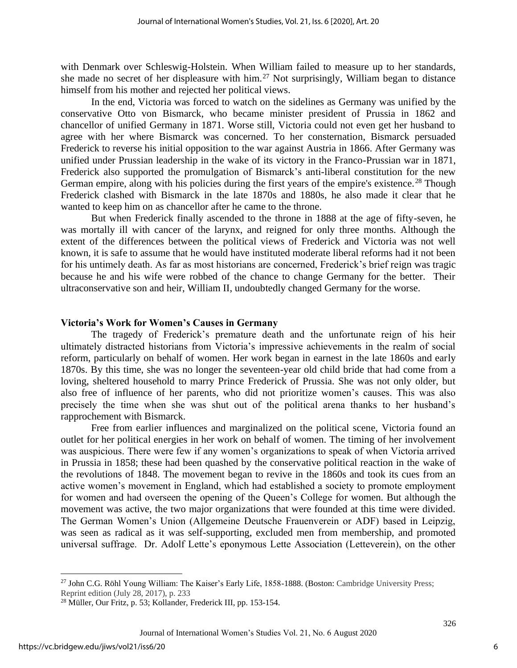with Denmark over Schleswig-Holstein. When William failed to measure up to her standards, she made no secret of her displeasure with him.<sup>27</sup> Not surprisingly, William began to distance himself from his mother and rejected her political views.

In the end, Victoria was forced to watch on the sidelines as Germany was unified by the conservative Otto von Bismarck, who became minister president of Prussia in 1862 and chancellor of unified Germany in 1871. Worse still, Victoria could not even get her husband to agree with her where Bismarck was concerned. To her consternation, Bismarck persuaded Frederick to reverse his initial opposition to the war against Austria in 1866. After Germany was unified under Prussian leadership in the wake of its victory in the Franco-Prussian war in 1871, Frederick also supported the promulgation of Bismarck's anti-liberal constitution for the new German empire, along with his policies during the first years of the empire's existence.<sup>28</sup> Though Frederick clashed with Bismarck in the late 1870s and 1880s, he also made it clear that he wanted to keep him on as chancellor after he came to the throne.

But when Frederick finally ascended to the throne in 1888 at the age of fifty-seven, he was mortally ill with cancer of the larynx, and reigned for only three months. Although the extent of the differences between the political views of Frederick and Victoria was not well known, it is safe to assume that he would have instituted moderate liberal reforms had it not been for his untimely death. As far as most historians are concerned, Frederick's brief reign was tragic because he and his wife were robbed of the chance to change Germany for the better. Their ultraconservative son and heir, William II, undoubtedly changed Germany for the worse.

# **Victoria's Work for Women's Causes in Germany**

The tragedy of Frederick's premature death and the unfortunate reign of his heir ultimately distracted historians from Victoria's impressive achievements in the realm of social reform, particularly on behalf of women. Her work began in earnest in the late 1860s and early 1870s. By this time, she was no longer the seventeen-year old child bride that had come from a loving, sheltered household to marry Prince Frederick of Prussia. She was not only older, but also free of influence of her parents, who did not prioritize women's causes. This was also precisely the time when she was shut out of the political arena thanks to her husband's rapprochement with Bismarck.

Free from earlier influences and marginalized on the political scene, Victoria found an outlet for her political energies in her work on behalf of women. The timing of her involvement was auspicious. There were few if any women's organizations to speak of when Victoria arrived in Prussia in 1858; these had been quashed by the conservative political reaction in the wake of the revolutions of 1848. The movement began to revive in the 1860s and took its cues from an active women's movement in England, which had established a society to promote employment for women and had overseen the opening of the Queen's College for women. But although the movement was active, the two major organizations that were founded at this time were divided. The German Women's Union (Allgemeine Deutsche Frauenverein or ADF) based in Leipzig, was seen as radical as it was self-supporting, excluded men from membership, and promoted universal suffrage. Dr. Adolf Lette's eponymous Lette Association (Letteverein), on the other

<sup>&</sup>lt;sup>27</sup> John C.G. Röhl Young William: The Kaiser's Early Life, 1858-1888. (Boston: Cambridge University Press; Reprint edition (July 28, 2017), p. 233

<sup>28</sup> Müller, Our Fritz, p. 53; Kollander, Frederick III, pp. 153-154.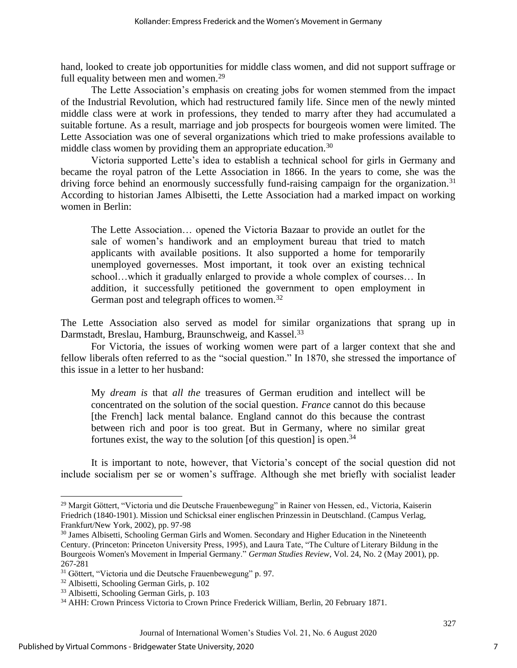hand, looked to create job opportunities for middle class women, and did not support suffrage or full equality between men and women.<sup>29</sup>

The Lette Association's emphasis on creating jobs for women stemmed from the impact of the Industrial Revolution, which had restructured family life. Since men of the newly minted middle class were at work in professions, they tended to marry after they had accumulated a suitable fortune. As a result, marriage and job prospects for bourgeois women were limited. The Lette Association was one of several organizations which tried to make professions available to middle class women by providing them an appropriate education.<sup>30</sup>

Victoria supported Lette's idea to establish a technical school for girls in Germany and became the royal patron of the Lette Association in 1866. In the years to come, she was the driving force behind an enormously successfully fund-raising campaign for the organization.<sup>31</sup> According to historian James Albisetti, the Lette Association had a marked impact on working women in Berlin:

The Lette Association… opened the Victoria Bazaar to provide an outlet for the sale of women's handiwork and an employment bureau that tried to match applicants with available positions. It also supported a home for temporarily unemployed governesses. Most important, it took over an existing technical school…which it gradually enlarged to provide a whole complex of courses… In addition, it successfully petitioned the government to open employment in German post and telegraph offices to women.<sup>32</sup>

The Lette Association also served as model for similar organizations that sprang up in Darmstadt, Breslau, Hamburg, Braunschweig, and Kassel.<sup>33</sup>

For Victoria, the issues of working women were part of a larger context that she and fellow liberals often referred to as the "social question." In 1870, she stressed the importance of this issue in a letter to her husband:

My *dream is* that *all the* treasures of German erudition and intellect will be concentrated on the solution of the social question. *France* cannot do this because [the French] lack mental balance. England cannot do this because the contrast between rich and poor is too great. But in Germany, where no similar great fortunes exist, the way to the solution [of this question] is open.<sup>34</sup>

It is important to note, however, that Victoria's concept of the social question did not include socialism per se or women's suffrage. Although she met briefly with socialist leader

<sup>29</sup> Margit Gӧttert, "Victoria und die Deutsche Frauenbewegung" in Rainer von Hessen, ed., Victoria, Kaiserin Friedrich (1840-1901). Mission und Schicksal einer englischen Prinzessin in Deutschland. (Campus Verlag, Frankfurt/New York, 2002), pp. 97-98

<sup>&</sup>lt;sup>30</sup> James Albisetti, Schooling German Girls and Women. Secondary and Higher Education in the Nineteenth Century. (Princeton: Princeton University Press, 1995), and Laura Tate, "The Culture of Literary Bildung in the Bourgeois Women's Movement in Imperial Germany." *German Studies Review*, Vol. 24, No. 2 (May 2001), pp. 267-281

<sup>&</sup>lt;sup>31</sup> Göttert, "Victoria und die Deutsche Frauenbewegung" p. 97.

<sup>32</sup> Albisetti, Schooling German Girls, p. 102

<sup>33</sup> Albisetti, Schooling German Girls, p. 103

<sup>34</sup> AHH: Crown Princess Victoria to Crown Prince Frederick William, Berlin, 20 February 1871.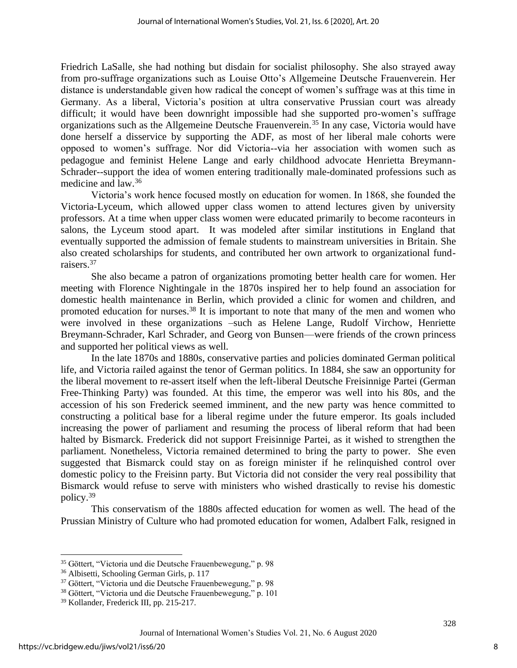Friedrich LaSalle, she had nothing but disdain for socialist philosophy. She also strayed away from pro-suffrage organizations such as Louise Otto's Allgemeine Deutsche Frauenverein. Her distance is understandable given how radical the concept of women's suffrage was at this time in Germany. As a liberal, Victoria's position at ultra conservative Prussian court was already difficult; it would have been downright impossible had she supported pro-women's suffrage organizations such as the Allgemeine Deutsche Frauenverein.<sup>35</sup> In any case, Victoria would have done herself a disservice by supporting the ADF, as most of her liberal male cohorts were opposed to women's suffrage. Nor did Victoria--via her association with women such as pedagogue and feminist Helene Lange and early childhood advocate Henrietta Breymann-Schrader--support the idea of women entering traditionally male-dominated professions such as medicine and law.<sup>36</sup>

Victoria's work hence focused mostly on education for women. In 1868, she founded the Victoria-Lyceum, which allowed upper class women to attend lectures given by university professors. At a time when upper class women were educated primarily to become raconteurs in salons, the Lyceum stood apart. It was modeled after similar institutions in England that eventually supported the admission of female students to mainstream universities in Britain. She also created scholarships for students, and contributed her own artwork to organizational fundraisers.<sup>37</sup>

She also became a patron of organizations promoting better health care for women. Her meeting with Florence Nightingale in the 1870s inspired her to help found an association for domestic health maintenance in Berlin, which provided a clinic for women and children, and promoted education for nurses.<sup>38</sup> It is important to note that many of the men and women who were involved in these organizations –such as Helene Lange, Rudolf Virchow, Henriette Breymann-Schrader, Karl Schrader, and Georg von Bunsen—were friends of the crown princess and supported her political views as well.

In the late 1870s and 1880s, conservative parties and policies dominated German political life, and Victoria railed against the tenor of German politics. In 1884, she saw an opportunity for the liberal movement to re-assert itself when the left-liberal Deutsche Freisinnige Partei (German Free-Thinking Party) was founded. At this time, the emperor was well into his 80s, and the accession of his son Frederick seemed imminent, and the new party was hence committed to constructing a political base for a liberal regime under the future emperor. Its goals included increasing the power of parliament and resuming the process of liberal reform that had been halted by Bismarck. Frederick did not support Freisinnige Partei, as it wished to strengthen the parliament. Nonetheless, Victoria remained determined to bring the party to power. She even suggested that Bismarck could stay on as foreign minister if he relinquished control over domestic policy to the Freisinn party. But Victoria did not consider the very real possibility that Bismarck would refuse to serve with ministers who wished drastically to revise his domestic policy.<sup>39</sup>

This conservatism of the 1880s affected education for women as well. The head of the Prussian Ministry of Culture who had promoted education for women, Adalbert Falk, resigned in

<sup>35</sup> Göttert, "Victoria und die Deutsche Frauenbewegung," p. 98

<sup>36</sup> Albisetti, Schooling German Girls, p. 117

<sup>&</sup>lt;sup>37</sup> Göttert, "Victoria und die Deutsche Frauenbewegung," p. 98

<sup>38</sup> Gӧttert, "Victoria und die Deutsche Frauenbewegung," p. 101

<sup>39</sup> Kollander, Frederick III, pp. 215-217.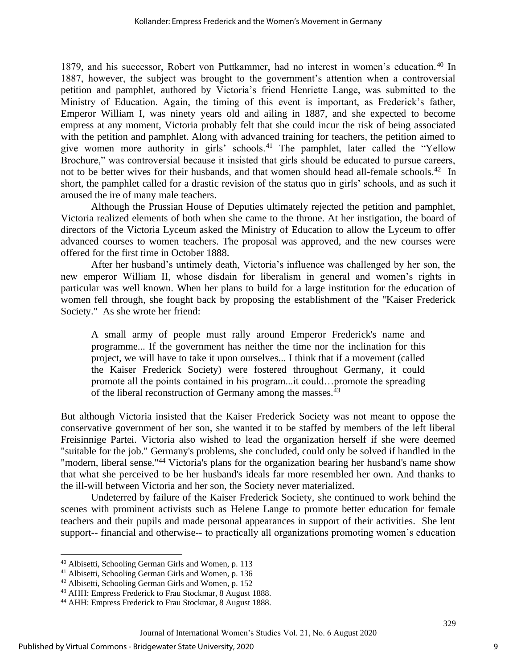1879, and his successor, Robert von Puttkammer, had no interest in women's education.<sup>40</sup> In 1887, however, the subject was brought to the government's attention when a controversial petition and pamphlet, authored by Victoria's friend Henriette Lange, was submitted to the Ministry of Education. Again, the timing of this event is important, as Frederick's father, Emperor William I, was ninety years old and ailing in 1887, and she expected to become empress at any moment, Victoria probably felt that she could incur the risk of being associated with the petition and pamphlet. Along with advanced training for teachers, the petition aimed to give women more authority in girls' schools.<sup>41</sup> The pamphlet, later called the "Yellow Brochure," was controversial because it insisted that girls should be educated to pursue careers, not to be better wives for their husbands, and that women should head all-female schools.<sup>42</sup> In short, the pamphlet called for a drastic revision of the status quo in girls' schools, and as such it aroused the ire of many male teachers.

Although the Prussian House of Deputies ultimately rejected the petition and pamphlet, Victoria realized elements of both when she came to the throne. At her instigation, the board of directors of the Victoria Lyceum asked the Ministry of Education to allow the Lyceum to offer advanced courses to women teachers. The proposal was approved, and the new courses were offered for the first time in October 1888.

After her husband's untimely death, Victoria's influence was challenged by her son, the new emperor William II, whose disdain for liberalism in general and women's rights in particular was well known. When her plans to build for a large institution for the education of women fell through, she fought back by proposing the establishment of the "Kaiser Frederick Society." As she wrote her friend:

A small army of people must rally around Emperor Frederick's name and programme... If the government has neither the time nor the inclination for this project, we will have to take it upon ourselves... I think that if a movement (called the Kaiser Frederick Society) were fostered throughout Germany, it could promote all the points contained in his program...it could…promote the spreading of the liberal reconstruction of Germany among the masses.<sup>43</sup>

But although Victoria insisted that the Kaiser Frederick Society was not meant to oppose the conservative government of her son, she wanted it to be staffed by members of the left liberal Freisinnige Partei. Victoria also wished to lead the organization herself if she were deemed "suitable for the job." Germany's problems, she concluded, could only be solved if handled in the "modern, liberal sense."<sup>44</sup> Victoria's plans for the organization bearing her husband's name show that what she perceived to be her husband's ideals far more resembled her own. And thanks to the ill-will between Victoria and her son, the Society never materialized.

Undeterred by failure of the Kaiser Frederick Society, she continued to work behind the scenes with prominent activists such as Helene Lange to promote better education for female teachers and their pupils and made personal appearances in support of their activities. She lent support-- financial and otherwise-- to practically all organizations promoting women's education

<sup>40</sup> Albisetti, Schooling German Girls and Women, p. 113

<sup>41</sup> Albisetti, Schooling German Girls and Women, p. 136

<sup>42</sup> Albisetti, Schooling German Girls and Women, p. 152

<sup>43</sup> AHH: Empress Frederick to Frau Stockmar, 8 August 1888.

<sup>44</sup> AHH: Empress Frederick to Frau Stockmar, 8 August 1888.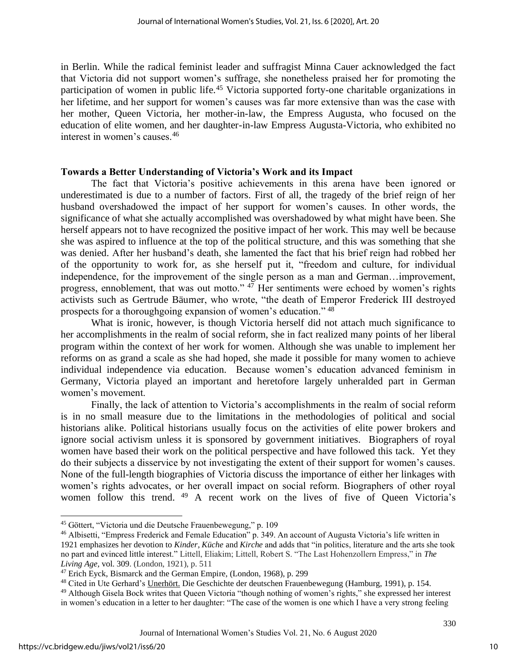in Berlin. While the radical feminist leader and suffragist Minna Cauer acknowledged the fact that Victoria did not support women's suffrage, she nonetheless praised her for promoting the participation of women in public life.<sup>45</sup> Victoria supported forty-one charitable organizations in her lifetime, and her support for women's causes was far more extensive than was the case with her mother, Queen Victoria, her mother-in-law, the Empress Augusta, who focused on the education of elite women, and her daughter-in-law Empress Augusta-Victoria, who exhibited no interest in women's causes.<sup>46</sup>

# **Towards a Better Understanding of Victoria's Work and its Impact**

The fact that Victoria's positive achievements in this arena have been ignored or underestimated is due to a number of factors. First of all, the tragedy of the brief reign of her husband overshadowed the impact of her support for women's causes. In other words, the significance of what she actually accomplished was overshadowed by what might have been. She herself appears not to have recognized the positive impact of her work. This may well be because she was aspired to influence at the top of the political structure, and this was something that she was denied. After her husband's death, she lamented the fact that his brief reign had robbed her of the opportunity to work for, as she herself put it, "freedom and culture, for individual independence, for the improvement of the single person as a man and German…improvement, progress, ennoblement, that was out motto."  $47$  Her sentiments were echoed by women's rights activists such as Gertrude Bäumer, who wrote, "the death of Emperor Frederick III destroyed prospects for a thoroughgoing expansion of women's education." <sup>48</sup>

What is ironic, however, is though Victoria herself did not attach much significance to her accomplishments in the realm of social reform, she in fact realized many points of her liberal program within the context of her work for women. Although she was unable to implement her reforms on as grand a scale as she had hoped, she made it possible for many women to achieve individual independence via education. Because women's education advanced feminism in Germany, Victoria played an important and heretofore largely unheralded part in German women's movement.

Finally, the lack of attention to Victoria's accomplishments in the realm of social reform is in no small measure due to the limitations in the methodologies of political and social historians alike. Political historians usually focus on the activities of elite power brokers and ignore social activism unless it is sponsored by government initiatives. Biographers of royal women have based their work on the political perspective and have followed this tack. Yet they do their subjects a disservice by not investigating the extent of their support for women's causes. None of the full-length biographies of Victoria discuss the importance of either her linkages with women's rights advocates, or her overall impact on social reform. Biographers of other royal women follow this trend. <sup>49</sup> A recent work on the lives of five of Queen Victoria's

<sup>45</sup> Göttert, "Victoria und die Deutsche Frauenbewegung," p. 109

<sup>46</sup> Albisetti, "Empress Frederick and Female Education" p. 349. An account of Augusta Victoria's life written in 1921 emphasizes her devotion to *Kinder, Küche* and *Kirche* and adds that "in politics, literature and the arts she took no part and evinced little interest." Littell, Eliakim; Littell, Robert S. "The Last Hohenzollern Empress," in *The Living Age,* vol. 309. (London, 1921), p. 511

 $47$  Erich Eyck, Bismarck and the German Empire, (London, 1968), p. 299

<sup>&</sup>lt;sup>48</sup> Cited in Ute Gerhard's Unerhört. Die Geschichte der deutschen Frauenbewegung (Hamburg, 1991), p. 154.

<sup>49</sup> Although Gisela Bock writes that Queen Victoria "though nothing of women's rights," she expressed her interest in women's education in a letter to her daughter: "The case of the women is one which I have a very strong feeling